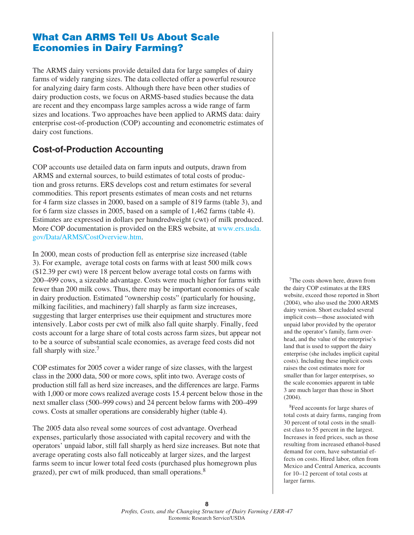# **What Can ARMS Tell Us About Scale Economies in Dairy Farming?**

The ARMS dairy versions provide detailed data for large samples of dairy farms of widely ranging sizes. The data collected offer a powerful resource for analyzing dairy farm costs. Although there have been other studies of dairy production costs, we focus on ARMS-based studies because the data are recent and they encompass large samples across a wide range of farm sizes and locations. Two approaches have been applied to ARMS data: dairy enterprise cost-of-production (COP) accounting and econometric estimates of dairy cost functions.

# **Cost-of-Production Accounting**

COP accounts use detailed data on farm inputs and outputs, drawn from ARMS and external sources, to build estimates of total costs of production and gross returns. ERS develops cost and return estimates for several commodities. This report presents estimates of mean costs and net returns for 4 farm size classes in 2000, based on a sample of 819 farms (table 3), and for 6 farm size classes in 2005, based on a sample of 1,462 farms (table 4). Estimates are expressed in dollars per hundredweight (cwt) of milk produced. More COP documentation is provided on the ERS website, at www.ers.usda. gov/Data/ARMS/CostOverview.htm.

In 2000, mean costs of production fell as enterprise size increased (table 3). For example, average total costs on farms with at least 500 milk cows (\$12.39 per cwt) were 18 percent below average total costs on farms with 200–499 cows, a sizeable advantage. Costs were much higher for farms with fewer than 200 milk cows. Thus, there may be important economies of scale in dairy production. Estimated "ownership costs" (particularly for housing, milking facilities, and machinery) fall sharply as farm size increases, suggesting that larger enterprises use their equipment and structures more intensively. Labor costs per cwt of milk also fall quite sharply. Finally, feed costs account for a large share of total costs across farm sizes, but appear not to be a source of substantial scale economies, as average feed costs did not fall sharply with size.<sup>7</sup>

COP estimates for 2005 cover a wider range of size classes, with the largest class in the 2000 data, 500 or more cows, split into two. Average costs of production still fall as herd size increases, and the differences are large. Farms with 1,000 or more cows realized average costs 15.4 percent below those in the next smaller class (500–999 cows) and 24 percent below farms with 200–499 cows. Costs at smaller operations are considerably higher (table 4).

The 2005 data also reveal some sources of cost advantage. Overhead expenses, particularly those associated with capital recovery and with the operators' unpaid labor, still fall sharply as herd size increases. But note that average operating costs also fall noticeably at larger sizes, and the largest farms seem to incur lower total feed costs (purchased plus homegrown plus grazed), per cwt of milk produced, than small operations.<sup>8</sup>

<sup>7</sup>The costs shown here, drawn from the dairy COP estimates at the ERS website, exceed those reported in Short (2004), who also used the 2000 ARMS dairy version. Short excluded several implicit costs—those associated with unpaid labor provided by the operator and the operator's family, farm overhead, and the value of the enterprise's land that is used to support the dairy enterprise (she includes implicit capital costs). Including these implicit costs raises the cost estimates more for smaller than for larger enterprises, so the scale economies apparent in table 3 are much larger than those in Short (2004).

8Feed accounts for large shares of total costs at dairy farms, ranging from 30 percent of total costs in the smallest class to 55 percent in the largest. Increases in feed prices, such as those resulting from increased ethanol-based demand for corn, have substantial effects on costs. Hired labor, often from Mexico and Central America, accounts for 10–12 percent of total costs at larger farms.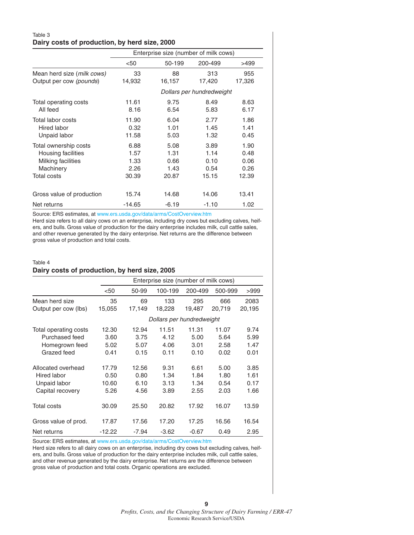### Table 3 **Dairy costs of production, by herd size, 2000**

|                            | Enterprise size (number of milk cows) |                           |         |        |
|----------------------------|---------------------------------------|---------------------------|---------|--------|
|                            | < 50                                  | 50-199                    | 200-499 | >499   |
| Mean herd size (milk cows) | 33                                    | 88                        | 313     | 955    |
| Output per cow (pounds)    | 14,932                                | 16,157                    | 17,420  | 17,326 |
|                            |                                       | Dollars per hundredweight |         |        |
| Total operating costs      | 11.61                                 | 9.75                      | 8.49    | 8.63   |
| All feed                   | 8.16                                  | 6.54                      | 5.83    | 6.17   |
| Total labor costs          | 11.90                                 | 6.04                      | 2.77    | 1.86   |
| Hired labor                | 0.32                                  | 1.01                      | 1.45    | 1.41   |
| Unpaid labor               | 11.58                                 | 5.03                      | 1.32    | 0.45   |
| Total ownership costs      | 6.88                                  | 5.08                      | 3.89    | 1.90   |
| Housing facilities         | 1.57                                  | 1.31                      | 1.14    | 0.48   |
| Milking facilities         | 1.33                                  | 0.66                      | 0.10    | 0.06   |
| Machinery                  | 2.26                                  | 1.43                      | 0.54    | 0.26   |
| Total costs                | 30.39                                 | 20.87                     | 15.15   | 12.39  |
| Gross value of production  | 15.74                                 | 14.68                     | 14.06   | 13.41  |
| Net returns                | $-14.65$                              | $-6.19$                   | $-1.10$ | 1.02   |

Source: ERS estimates, at www.ers.usda.gov/data/arms/CostOverview.htm Herd size refers to all dairy cows on an enterprise, including dry cows but excluding calves, heifers, and bulls. Gross value of production for the dairy enterprise includes milk, cull cattle sales, and other revenue generated by the dairy enterprise. Net returns are the difference between gross value of production and total costs.

#### Table 4 **Dairy costs of production, by herd size, 2005**

|                       |          | Enterprise size (number of milk cows) |         |         |         |        |
|-----------------------|----------|---------------------------------------|---------|---------|---------|--------|
|                       | < 50     | 50-99                                 | 100-199 | 200-499 | 500-999 | >999   |
| Mean herd size        | 35       | 69                                    | 133     | 295     | 666     | 2083   |
| Output per cow (lbs)  | 15,055   | 17,149                                | 18,228  | 19,487  | 20.719  | 20,195 |
|                       |          | Dollars per hundredweight             |         |         |         |        |
| Total operating costs | 12.30    | 12.94                                 | 11.51   | 11.31   | 11.07   | 9.74   |
| Purchased feed        | 3.60     | 3.75                                  | 4.12    | 5.00    | 5.64    | 5.99   |
| Homegrown feed        | 5.02     | 5.07                                  | 4.06    | 3.01    | 2.58    | 1.47   |
| Grazed feed           | 0.41     | 0.15                                  | 0.11    | 0.10    | 0.02    | 0.01   |
| Allocated overhead    | 17.79    | 12.56                                 | 9.31    | 6.61    | 5.00    | 3.85   |
| Hired labor           | 0.50     | 0.80                                  | 1.34    | 1.84    | 1.80    | 1.61   |
| Unpaid labor          | 10.60    | 6.10                                  | 3.13    | 1.34    | 0.54    | 0.17   |
| Capital recovery      | 5.26     | 4.56                                  | 3.89    | 2.55    | 2.03    | 1.66   |
| Total costs           | 30.09    | 25.50                                 | 20.82   | 17.92   | 16.07   | 13.59  |
| Gross value of prod.  | 17.87    | 17.56                                 | 17.20   | 17.25   | 16.56   | 16.54  |
| Net returns           | $-12.22$ | $-7.94$                               | $-3.62$ | $-0.67$ | 0.49    | 2.95   |

Source: ERS estimates, at www.ers.usda.gov/data/arms/CostOverview.htm

Herd size refers to all dairy cows on an enterprise, including dry cows but excluding calves, heifers, and bulls. Gross value of production for the dairy enterprise includes milk, cull cattle sales, and other revenue generated by the dairy enterprise. Net returns are the difference between gross value of production and total costs. Organic operations are excluded.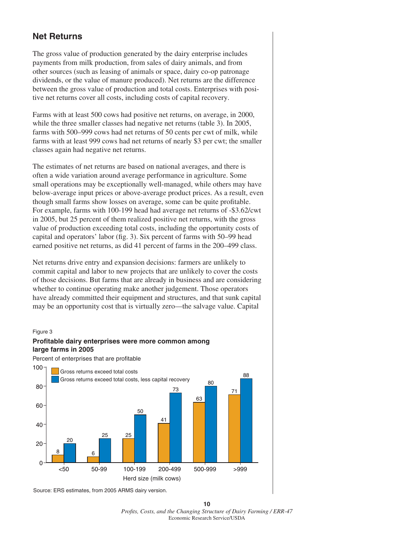# **Net Returns**

The gross value of production generated by the dairy enterprise includes payments from milk production, from sales of dairy animals, and from other sources (such as leasing of animals or space, dairy co-op patronage dividends, or the value of manure produced). Net returns are the difference between the gross value of production and total costs. Enterprises with positive net returns cover all costs, including costs of capital recovery.

Farms with at least 500 cows had positive net returns, on average, in 2000, while the three smaller classes had negative net returns (table 3). In 2005, farms with 500–999 cows had net returns of 50 cents per cwt of milk, while farms with at least 999 cows had net returns of nearly \$3 per cwt; the smaller classes again had negative net returns.

The estimates of net returns are based on national averages, and there is often a wide variation around average performance in agriculture. Some small operations may be exceptionally well-managed, while others may have below-average input prices or above-average product prices. As a result, even though small farms show losses on average, some can be quite profitable. For example, farms with 100-199 head had average net returns of -\$3.62/cwt in 2005, but 25 percent of them realized positive net returns, with the gross value of production exceeding total costs, including the opportunity costs of capital and operators' labor (fig. 3). Six percent of farms with 50–99 head earned positive net returns, as did 41 percent of farms in the 200–499 class.

Net returns drive entry and expansion decisions: farmers are unlikely to commit capital and labor to new projects that are unlikely to cover the costs of those decisions. But farms that are already in business and are considering whether to continue operating make another judgement. Those operators have already committed their equipment and structures, and that sunk capital may be an opportunity cost that is virtually zero—the salvage value. Capital

#### Figure 3

### **Profitable dairy enterprises were more common among large farms in 2005**

Percent of enterprises that are profitable



Source: ERS estimates, from 2005 ARMS dairy version.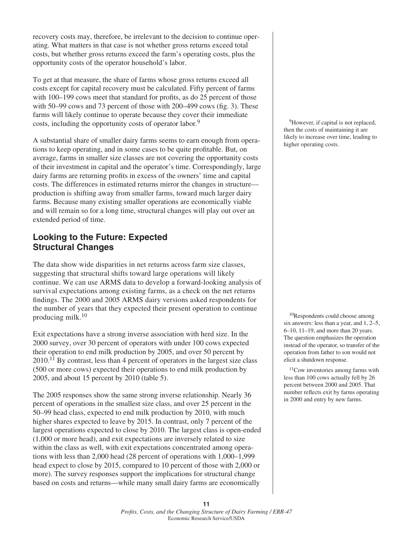recovery costs may, therefore, be irrelevant to the decision to continue operating. What matters in that case is not whether gross returns exceed total costs, but whether gross returns exceed the farm's operating costs, plus the opportunity costs of the operator household's labor.

To get at that measure, the share of farms whose gross returns exceed all costs except for capital recovery must be calculated. Fifty percent of farms with 100–199 cows meet that standard for profits, as do 25 percent of those with 50–99 cows and 73 percent of those with 200–499 cows (fig. 3). These farms will likely continue to operate because they cover their immediate costs, including the opportunity costs of operator labor.<sup>9</sup>

A substantial share of smaller dairy farms seems to earn enough from operations to keep operating, and in some cases to be quite profitable. But, on average, farms in smaller size classes are not covering the opportunity costs of their investment in capital and the operator's time. Correspondingly, large dairy farms are returning profits in excess of the owners' time and capital costs. The differences in estimated returns mirror the changes in structure production is shifting away from smaller farms, toward much larger dairy farms. Because many existing smaller operations are economically viable and will remain so for a long time, structural changes will play out over an extended period of time.

## **Looking to the Future: Expected Structural Changes**

The data show wide disparities in net returns across farm size classes, suggesting that structural shifts toward large operations will likely continue. We can use ARMS data to develop a forward-looking analysis of survival expectations among existing farms, as a check on the net returns findings. The 2000 and 2005 ARMS dairy versions asked respondents for the number of years that they expected their present operation to continue producing milk.<sup>10</sup>

Exit expectations have a strong inverse association with herd size. In the 2000 survey, over 30 percent of operators with under 100 cows expected their operation to end milk production by 2005, and over 50 percent by  $2010$ <sup>11</sup> By contrast, less than 4 percent of operators in the largest size class (500 or more cows) expected their operations to end milk production by 2005, and about 15 percent by 2010 (table 5).

The 2005 responses show the same strong inverse relationship. Nearly 36 percent of operations in the smallest size class, and over 25 percent in the 50–99 head class, expected to end milk production by 2010, with much higher shares expected to leave by 2015. In contrast, only 7 percent of the largest operations expected to close by 2010. The largest class is open-ended (1,000 or more head), and exit expectations are inversely related to size within the class as well, with exit expectations concentrated among operations with less than 2,000 head (28 percent of operations with 1,000–1,999 head expect to close by 2015, compared to 10 percent of those with 2,000 or more). The survey responses support the implications for structural change based on costs and returns—while many small dairy farms are economically

<sup>9</sup>However, if capital is not replaced, then the costs of maintaining it are likely to increase over time, leading to higher operating costs.

10Respondents could choose among six answers: less than a year, and 1, 2–5, 6–10, 11–19, and more than 20 years. The question emphasizes the operation instead of the operator, so transfer of the operation from father to son would not elicit a shutdown response.

<sup>11</sup>Cow inventories among farms with less than 100 cows actually fell by 26 percent between 2000 and 2005. That number reflects exit by farms operating in 2000 and entry by new farms.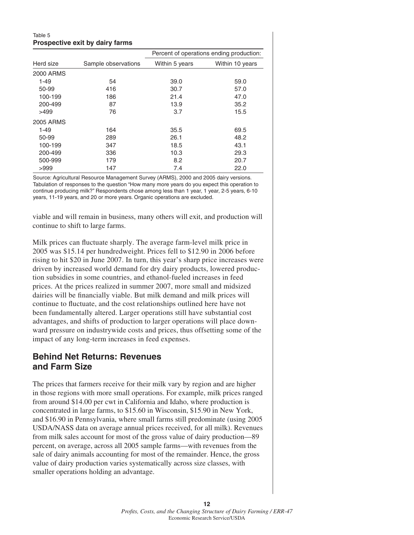### Table 5 **Prospective exit by dairy farms**

|                  |                     | Percent of operations ending production: |                 |  |
|------------------|---------------------|------------------------------------------|-----------------|--|
| Herd size        | Sample observations | Within 5 years                           | Within 10 years |  |
| 2000 ARMS        |                     |                                          |                 |  |
| $1 - 49$         | 54                  | 39.0                                     | 59.0            |  |
| 50-99            | 416                 | 30.7                                     | 57.0            |  |
| 100-199          | 186                 | 21.4                                     | 47.0            |  |
| 200-499          | 87                  | 13.9                                     | 35.2            |  |
| >499             | 76                  | 3.7                                      | 15.5            |  |
| <b>2005 ARMS</b> |                     |                                          |                 |  |
| $1 - 49$         | 164                 | 35.5                                     | 69.5            |  |
| 50-99            | 289                 | 26.1                                     | 48.2            |  |
| 100-199          | 347                 | 18.5                                     | 43.1            |  |
| 200-499          | 336                 | 10.3                                     | 29.3            |  |
| 500-999          | 179                 | 8.2                                      | 20.7            |  |
| >999             | 147                 | 7.4                                      | 22.0            |  |

Source: Agricultural Resource Management Survey (ARMS), 2000 and 2005 dairy versions. Tabulation of responses to the question "How many more years do you expect this operation to continue producing milk?" Respondents chose among less than 1 year, 1 year, 2-5 years, 6-10 years, 11-19 years, and 20 or more years. Organic operations are excluded.

viable and will remain in business, many others will exit, and production will continue to shift to large farms.

Milk prices can fluctuate sharply. The average farm-level milk price in 2005 was \$15.14 per hundredweight. Prices fell to \$12.90 in 2006 before rising to hit \$20 in June 2007. In turn, this year's sharp price increases were driven by increased world demand for dry dairy products, lowered production subsidies in some countries, and ethanol-fueled increases in feed prices. At the prices realized in summer 2007, more small and midsized dairies will be financially viable. But milk demand and milk prices will continue to fluctuate, and the cost relationships outlined here have not been fundamentally altered. Larger operations still have substantial cost advantages, and shifts of production to larger operations will place downward pressure on industrywide costs and prices, thus offsetting some of the impact of any long-term increases in feed expenses.

### **Behind Net Returns: Revenues and Farm Size**

The prices that farmers receive for their milk vary by region and are higher in those regions with more small operations. For example, milk prices ranged from around \$14.00 per cwt in California and Idaho, where production is concentrated in large farms, to \$15.60 in Wisconsin, \$15.90 in New York, and \$16.90 in Pennsylvania, where small farms still predominate (using 2005 USDA/NASS data on average annual prices received, for all milk). Revenues from milk sales account for most of the gross value of dairy production—89 percent, on average, across all 2005 sample farms—with revenues from the sale of dairy animals accounting for most of the remainder. Hence, the gross value of dairy production varies systematically across size classes, with smaller operations holding an advantage.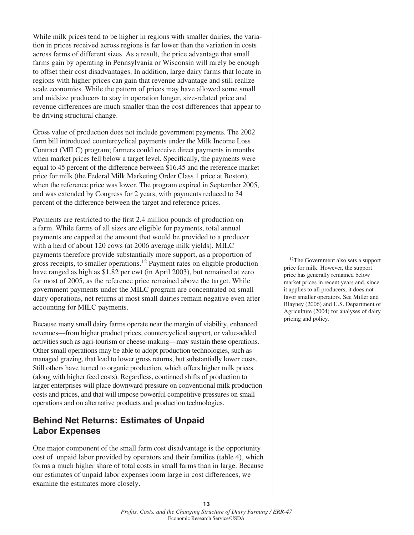While milk prices tend to be higher in regions with smaller dairies, the variation in prices received across regions is far lower than the variation in costs across farms of different sizes. As a result, the price advantage that small farms gain by operating in Pennsylvania or Wisconsin will rarely be enough to offset their cost disadvantages. In addition, large dairy farms that locate in regions with higher prices can gain that revenue advantage and still realize scale economies. While the pattern of prices may have allowed some small and midsize producers to stay in operation longer, size-related price and revenue differences are much smaller than the cost differences that appear to be driving structural change.

Gross value of production does not include government payments. The 2002 farm bill introduced countercyclical payments under the Milk Income Loss Contract (MILC) program; farmers could receive direct payments in months when market prices fell below a target level. Specifically, the payments were equal to 45 percent of the difference between \$16.45 and the reference market price for milk (the Federal Milk Marketing Order Class 1 price at Boston), when the reference price was lower. The program expired in September 2005, and was extended by Congress for 2 years, with payments reduced to 34 percent of the difference between the target and reference prices.

Payments are restricted to the first 2.4 million pounds of production on a farm. While farms of all sizes are eligible for payments, total annual payments are capped at the amount that would be provided to a producer with a herd of about 120 cows (at 2006 average milk yields). MILC payments therefore provide substantially more support, as a proportion of gross receipts, to smaller operations.<sup>12</sup> Payment rates on eligible production have ranged as high as \$1.82 per cwt (in April 2003), but remained at zero for most of 2005, as the reference price remained above the target. While government payments under the MILC program are concentrated on small dairy operations, net returns at most small dairies remain negative even after accounting for MILC payments.

Because many small dairy farms operate near the margin of viability, enhanced revenues—from higher product prices, countercyclical support, or value-added activities such as agri-tourism or cheese-making—may sustain these operations. Other small operations may be able to adopt production technologies, such as managed grazing, that lead to lower gross returns, but substantially lower costs. Still others have turned to organic production, which offers higher milk prices (along with higher feed costs). Regardless, continued shifts of production to larger enterprises will place downward pressure on conventional milk production costs and prices, and that will impose powerful competitive pressures on small operations and on alternative products and production technologies.

## **Behind Net Returns: Estimates of Unpaid Labor Expenses**

One major component of the small farm cost disadvantage is the opportunity cost of unpaid labor provided by operators and their families (table 4), which forms a much higher share of total costs in small farms than in large. Because our estimates of unpaid labor expenses loom large in cost differences, we examine the estimates more closely.

12The Government also sets a support price for milk. However, the support price has generally remained below market prices in recent years and, since it applies to all producers, it does not favor smaller operators. See Miller and Blayney (2006) and U.S. Department of Agriculture (2004) for analyses of dairy pricing and policy.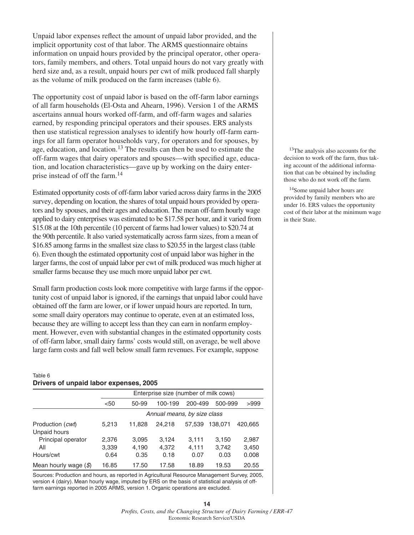Unpaid labor expenses reflect the amount of unpaid labor provided, and the implicit opportunity cost of that labor. The ARMS questionnaire obtains information on unpaid hours provided by the principal operator, other operators, family members, and others. Total unpaid hours do not vary greatly with herd size and, as a result, unpaid hours per cwt of milk produced fall sharply as the volume of milk produced on the farm increases (table 6).

The opportunity cost of unpaid labor is based on the off-farm labor earnings of all farm households (El-Osta and Ahearn, 1996). Version 1 of the ARMS ascertains annual hours worked off-farm, and off-farm wages and salaries earned, by responding principal operators and their spouses. ERS analysts then use statistical regression analyses to identify how hourly off-farm earnings for all farm operator households vary, for operators and for spouses, by age, education, and location.13 The results can then be used to estimate the off-farm wages that dairy operators and spouses—with specified age, education, and location characteristics—gave up by working on the dairy enterprise instead of off the farm.14

Estimated opportunity costs of off-farm labor varied across dairy farms in the 2005 survey, depending on location, the shares of total unpaid hours provided by operators and by spouses, and their ages and education. The mean off-farm hourly wage applied to dairy enterprises was estimated to be \$17.58 per hour, and it varied from \$15.08 at the 10th percentile (10 percent of farms had lower values) to \$20.74 at the 90th percentile. It also varied systematically across farm sizes, from a mean of \$16.85 among farms in the smallest size class to \$20.55 in the largest class (table 6). Even though the estimated opportunity cost of unpaid labor was higher in the larger farms, the cost of unpaid labor per cwt of milk produced was much higher at smaller farms because they use much more unpaid labor per cwt.

Small farm production costs look more competitive with large farms if the opportunity cost of unpaid labor is ignored, if the earnings that unpaid labor could have obtained off the farm are lower, or if lower unpaid hours are reported. In turn, some small dairy operators may continue to operate, even at an estimated loss, because they are willing to accept less than they can earn in nonfarm employment. However, even with substantial changes in the estimated opportunity costs of off-farm labor, small dairy farms' costs would still, on average, be well above large farm costs and fall well below small farm revenues. For example, suppose

#### Table 6 **Drivers of unpaid labor expenses, 2005**

|                                           | Enterprise size (number of milk cows) |                |                |                |                |                |
|-------------------------------------------|---------------------------------------|----------------|----------------|----------------|----------------|----------------|
|                                           | $50$                                  | 50-99          | 100-199        | 200-499        | 500-999        | >999           |
|                                           | Annual means, by size class           |                |                |                |                |                |
| Production ( <i>cwt</i> )<br>Unpaid hours | 5,213                                 | 11.828         | 24.218         | 57,539         | 138.071        | 420.665        |
| Principal operator<br>All                 | 2,376<br>3,339                        | 3.095<br>4,190 | 3.124<br>4,372 | 3.111<br>4.111 | 3.150<br>3,742 | 2,987<br>3,450 |
| Hours/cwt                                 | 0.64                                  | 0.35           | 0.18           | 0.07           | 0.03           | 0.008          |
| Mean hourly wage $(\mathcal{S})$          | 16.85                                 | 17.50          | 17.58          | 18.89          | 19.53          | 20.55          |

Sources: Production and hours, as reported in Agricultural Resource Management Survey, 2005, version 4 (dairy). Mean hourly wage, imputed by ERS on the basis of statistical analysis of offfarm earnings reported in 2005 ARMS, version 1. Organic operations are excluded.

<sup>13</sup>The analysis also accounts for the decision to work off the farm, thus taking account of the additional information that can be obtained by including those who do not work off the farm.

14Some unpaid labor hours are provided by family members who are under 16. ERS values the opportunity cost of their labor at the minimum wage in their State.